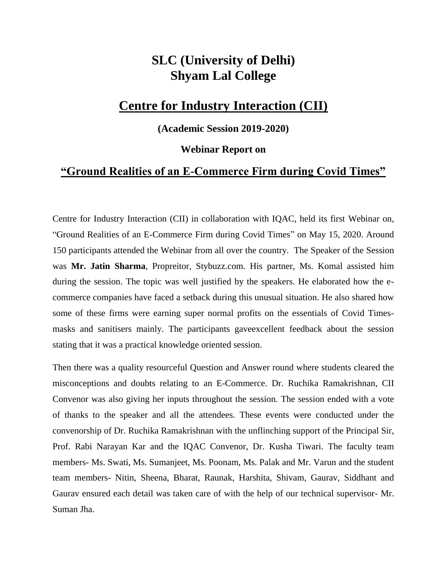## **SLC (University of Delhi) Shyam Lal College**

# **Centre for Industry Interaction (CII)**

**(Academic Session 2019-2020)**

#### **Webinar Report on**

#### **"Ground Realities of an E-Commerce Firm during Covid Times"**

Centre for Industry Interaction (CII) in collaboration with IQAC, held its first Webinar on, "Ground Realities of an E-Commerce Firm during Covid Times" on May 15, 2020. Around 150 participants attended the Webinar from all over the country. The Speaker of the Session was **Mr. Jatin Sharma**, Propreitor, Stybuzz.com. His partner, Ms. Komal assisted him during the session. The topic was well justified by the speakers. He elaborated how the ecommerce companies have faced a setback during this unusual situation. He also shared how some of these firms were earning super normal profits on the essentials of Covid Timesmasks and sanitisers mainly. The participants gaveexcellent feedback about the session stating that it was a practical knowledge oriented session.

Then there was a quality resourceful Question and Answer round where students cleared the misconceptions and doubts relating to an E-Commerce. Dr. Ruchika Ramakrishnan, CII Convenor was also giving her inputs throughout the session. The session ended with a vote of thanks to the speaker and all the attendees. These events were conducted under the convenorship of Dr. Ruchika Ramakrishnan with the unflinching support of the Principal Sir, Prof. Rabi Narayan Kar and the IQAC Convenor, Dr. Kusha Tiwari. The faculty team members- Ms. Swati, Ms. Sumanjeet, Ms. Poonam, Ms. Palak and Mr. Varun and the student team members- Nitin, Sheena, Bharat, Raunak, Harshita, Shivam, Gaurav, Siddhant and Gaurav ensured each detail was taken care of with the help of our technical supervisor- Mr. Suman Jha.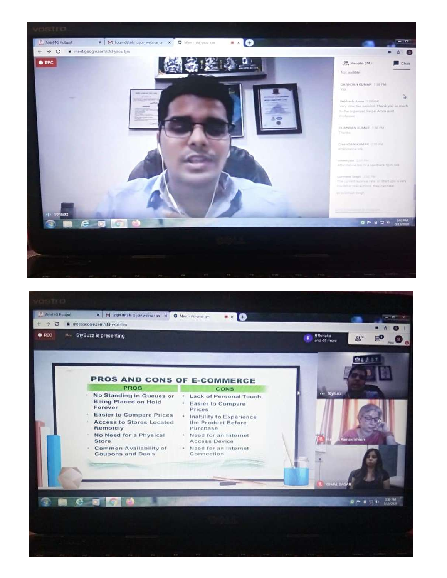

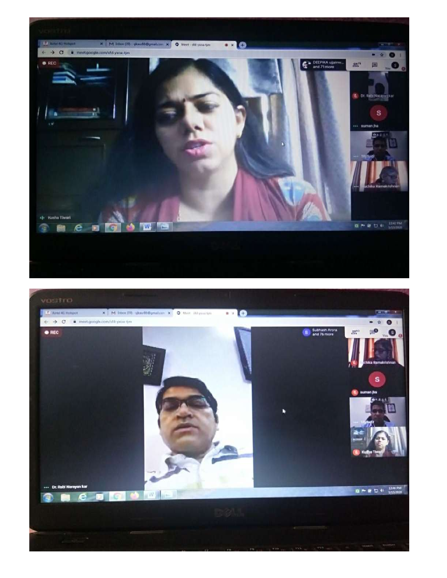